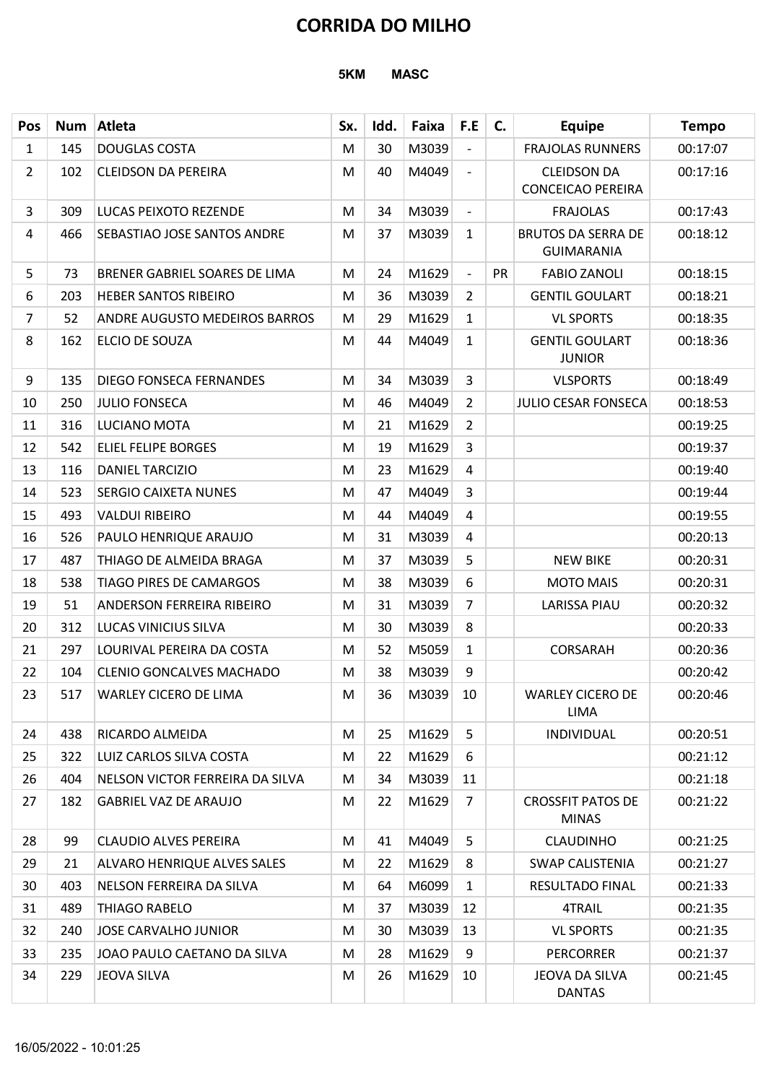|                |     |                                      | 5KM<br><b>MASC</b> |      |       |                          |    |                                                |              |  |  |  |  |  |
|----------------|-----|--------------------------------------|--------------------|------|-------|--------------------------|----|------------------------------------------------|--------------|--|--|--|--|--|
| <b>Pos</b>     | Num | Atleta                               | Sx.                | Idd. | Faixa | F.E                      | C. | <b>Equipe</b>                                  | <b>Tempo</b> |  |  |  |  |  |
| $\mathbf 1$    | 145 | <b>DOUGLAS COSTA</b>                 | M                  | 30   | M3039 | $\overline{\phantom{a}}$ |    | <b>FRAJOLAS RUNNERS</b>                        | 00:17:07     |  |  |  |  |  |
| $\overline{2}$ | 102 | <b>CLEIDSON DA PEREIRA</b>           | M                  | 40   | M4049 | $\overline{\phantom{a}}$ |    | <b>CLEIDSON DA</b><br><b>CONCEICAO PEREIRA</b> | 00:17:16     |  |  |  |  |  |
| 3              | 309 | LUCAS PEIXOTO REZENDE                | M                  | 34   | M3039 | $\overline{\phantom{a}}$ |    | <b>FRAJOLAS</b>                                | 00:17:43     |  |  |  |  |  |
| 4              | 466 | SEBASTIAO JOSE SANTOS ANDRE          | M                  | 37   | M3039 | $\mathbf{1}$             |    | <b>BRUTOS DA SERRA DE</b><br><b>GUIMARANIA</b> | 00:18:12     |  |  |  |  |  |
| 5              | 73  | BRENER GABRIEL SOARES DE LIMA        | M                  | 24   | M1629 | $\overline{\phantom{a}}$ | PR | <b>FABIO ZANOLI</b>                            | 00:18:15     |  |  |  |  |  |
| 6              | 203 | <b>HEBER SANTOS RIBEIRO</b>          | M                  | 36   | M3039 | $\overline{2}$           |    | <b>GENTIL GOULART</b>                          | 00:18:21     |  |  |  |  |  |
| $\overline{7}$ | 52  | <b>ANDRE AUGUSTO MEDEIROS BARROS</b> | M                  | 29   | M1629 | $\mathbf{1}$             |    | <b>VL SPORTS</b>                               | 00:18:35     |  |  |  |  |  |
| 8              | 162 | ELCIO DE SOUZA                       | M                  | 44   | M4049 | $\mathbf{1}$             |    | <b>GENTIL GOULART</b><br><b>JUNIOR</b>         | 00:18:36     |  |  |  |  |  |
| 9              | 135 | <b>DIEGO FONSECA FERNANDES</b>       | ${\sf M}$          | 34   | M3039 | $\overline{3}$           |    | <b>VLSPORTS</b>                                | 00:18:49     |  |  |  |  |  |
| 10             | 250 | <b>JULIO FONSECA</b>                 | M                  | 46   | M4049 | $\overline{2}$           |    | JULIO CESAR FONSECA                            | 00:18:53     |  |  |  |  |  |
| 11             | 316 | LUCIANO MOTA                         | M                  | 21   | M1629 | $\overline{2}$           |    |                                                | 00:19:25     |  |  |  |  |  |
| 12             | 542 | <b>ELIEL FELIPE BORGES</b>           | M                  | 19   | M1629 | 3                        |    |                                                | 00:19:37     |  |  |  |  |  |
| 13             | 116 | <b>DANIEL TARCIZIO</b>               | M                  | 23   | M1629 | 4                        |    |                                                | 00:19:40     |  |  |  |  |  |
| 14             | 523 | <b>SERGIO CAIXETA NUNES</b>          | M                  | 47   | M4049 | 3                        |    |                                                | 00:19:44     |  |  |  |  |  |
| 15             | 493 | <b>VALDUI RIBEIRO</b>                | M                  | 44   | M4049 | 4                        |    |                                                | 00:19:55     |  |  |  |  |  |
| 16             | 526 | PAULO HENRIQUE ARAUJO                | M                  | 31   | M3039 | 4                        |    |                                                | 00:20:13     |  |  |  |  |  |
| 17             | 487 | THIAGO DE ALMEIDA BRAGA              | M                  | 37   | M3039 | 5                        |    | <b>NEW BIKE</b>                                | 00:20:31     |  |  |  |  |  |
| 18             | 538 | <b>TIAGO PIRES DE CAMARGOS</b>       | M                  | 38   | M3039 | 6                        |    | <b>MOTO MAIS</b>                               | 00:20:31     |  |  |  |  |  |
| 19             | 51  | <b>ANDERSON FERREIRA RIBEIRO</b>     | M                  | 31   | M3039 | $\overline{7}$           |    | <b>LARISSA PIAU</b>                            | 00:20:32     |  |  |  |  |  |
| 20             | 312 | LUCAS VINICIUS SILVA                 | M                  | 30   | M3039 | 8                        |    |                                                | 00:20:33     |  |  |  |  |  |
| 21             | 297 | LOURIVAL PEREIRA DA COSTA            | M                  | 52   | M5059 | $\mathbf{1}$             |    | <b>CORSARAH</b>                                | 00:20:36     |  |  |  |  |  |
| 22             | 104 | <b>CLENIO GONCALVES MACHADO</b>      | M                  | 38   | M3039 | 9                        |    |                                                | 00:20:42     |  |  |  |  |  |
| 23             | 517 | <b>WARLEY CICERO DE LIMA</b>         | M                  | 36   | M3039 | 10                       |    | <b>WARLEY CICERO DE</b><br>LIMA                | 00:20:46     |  |  |  |  |  |
| 24             | 438 | RICARDO ALMEIDA                      | M                  | 25   | M1629 | 5                        |    | INDIVIDUAL                                     | 00:20:51     |  |  |  |  |  |
| 25             | 322 | LUIZ CARLOS SILVA COSTA              | M                  | 22   | M1629 | 6                        |    |                                                | 00:21:12     |  |  |  |  |  |
| 26             | 404 | NELSON VICTOR FERREIRA DA SILVA      | M                  | 34   | M3039 | 11                       |    |                                                | 00:21:18     |  |  |  |  |  |
| 27             | 182 | <b>GABRIEL VAZ DE ARAUJO</b>         | M                  | 22   | M1629 | 7                        |    | <b>CROSSFIT PATOS DE</b><br><b>MINAS</b>       | 00:21:22     |  |  |  |  |  |
| 28             | 99  | <b>CLAUDIO ALVES PEREIRA</b>         | M                  | 41   | M4049 | 5                        |    | <b>CLAUDINHO</b>                               | 00:21:25     |  |  |  |  |  |
| 29             | 21  | <b>ALVARO HENRIQUE ALVES SALES</b>   | M                  | 22   | M1629 | 8                        |    | <b>SWAP CALISTENIA</b>                         | 00:21:27     |  |  |  |  |  |
| 30             | 403 | NELSON FERREIRA DA SILVA             | M                  | 64   | M6099 | $\mathbf{1}$             |    | <b>RESULTADO FINAL</b>                         | 00:21:33     |  |  |  |  |  |
| 31             | 489 | <b>THIAGO RABELO</b>                 | M                  | 37   | M3039 | 12                       |    | 4TRAIL                                         | 00:21:35     |  |  |  |  |  |
| 32             | 240 | JOSE CARVALHO JUNIOR                 | M                  | 30   | M3039 | 13                       |    | <b>VL SPORTS</b>                               | 00:21:35     |  |  |  |  |  |
| 33             | 235 | JOAO PAULO CAETANO DA SILVA          | M                  | 28   | M1629 | 9                        |    | <b>PERCORRER</b>                               | 00:21:37     |  |  |  |  |  |
| 34             | 229 | JEOVA SILVA                          | M                  | 26   | M1629 | 10                       |    | JEOVA DA SILVA<br><b>DANTAS</b>                | 00:21:45     |  |  |  |  |  |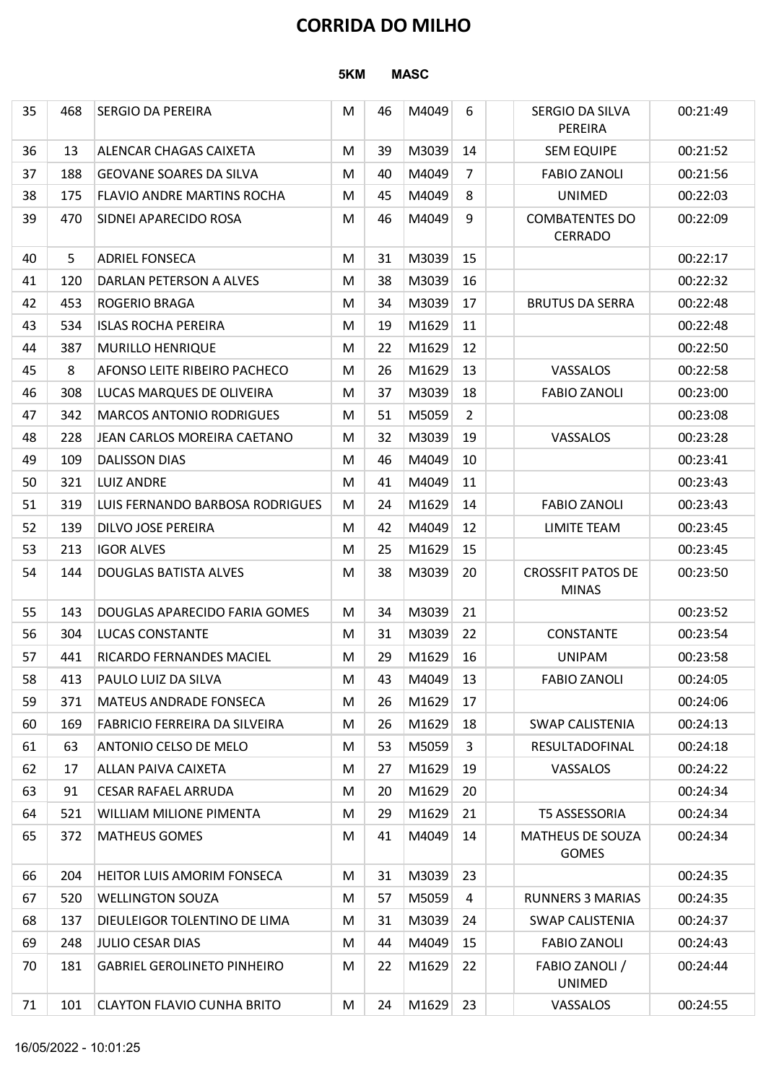| <b>SERGIO DA PEREIRA</b><br>ALENCAR CHAGAS CAIXETA<br><b>GEOVANE SOARES DA SILVA</b><br><b>FLAVIO ANDRE MARTINS ROCHA</b><br>SIDNEI APARECIDO ROSA<br><b>ADRIEL FONSECA</b><br>DARLAN PETERSON A ALVES<br><b>ROGERIO BRAGA</b><br><b>ISLAS ROCHA PEREIRA</b><br><b>MURILLO HENRIQUE</b><br>AFONSO LEITE RIBEIRO PACHECO<br>LUCAS MARQUES DE OLIVEIRA<br><b>MARCOS ANTONIO RODRIGUES</b><br>JEAN CARLOS MOREIRA CAETANO<br><b>DALISSON DIAS</b><br><b>LUIZ ANDRE</b> | 5KM<br>M<br>M<br>M<br>M<br>M<br>M<br>M<br>M<br>M<br>M<br>M<br>M<br>M<br>M | 46<br>39<br>40<br>45<br>46<br>31<br>38<br>34<br>19<br>22<br>26<br>37<br>51 | <b>MASC</b><br>M4049<br>M3039<br>M4049<br>M4049<br>M4049<br>M3039<br>M3039<br>M3039<br>M1629<br>M1629<br>M1629<br>M3039<br>M5059 | 6<br>14<br>7<br>8<br>9<br>15<br>16<br>17<br>11<br>12<br>13 | SERGIO DA SILVA<br>PEREIRA<br><b>SEM EQUIPE</b><br><b>FABIO ZANOLI</b><br><b>UNIMED</b><br><b>COMBATENTES DO</b><br><b>CERRADO</b><br><b>BRUTUS DA SERRA</b> | 00:21:49<br>00:21:52<br>00:21:56<br>00:22:03<br>00:22:09<br>00:22:17<br>00:22:32<br>00:22:48<br>00:22:48 |
|---------------------------------------------------------------------------------------------------------------------------------------------------------------------------------------------------------------------------------------------------------------------------------------------------------------------------------------------------------------------------------------------------------------------------------------------------------------------|---------------------------------------------------------------------------|----------------------------------------------------------------------------|----------------------------------------------------------------------------------------------------------------------------------|------------------------------------------------------------|--------------------------------------------------------------------------------------------------------------------------------------------------------------|----------------------------------------------------------------------------------------------------------|
|                                                                                                                                                                                                                                                                                                                                                                                                                                                                     |                                                                           |                                                                            |                                                                                                                                  |                                                            |                                                                                                                                                              |                                                                                                          |
|                                                                                                                                                                                                                                                                                                                                                                                                                                                                     |                                                                           |                                                                            |                                                                                                                                  |                                                            |                                                                                                                                                              |                                                                                                          |
|                                                                                                                                                                                                                                                                                                                                                                                                                                                                     |                                                                           |                                                                            |                                                                                                                                  |                                                            |                                                                                                                                                              |                                                                                                          |
|                                                                                                                                                                                                                                                                                                                                                                                                                                                                     |                                                                           |                                                                            |                                                                                                                                  |                                                            |                                                                                                                                                              |                                                                                                          |
|                                                                                                                                                                                                                                                                                                                                                                                                                                                                     |                                                                           |                                                                            |                                                                                                                                  |                                                            |                                                                                                                                                              |                                                                                                          |
|                                                                                                                                                                                                                                                                                                                                                                                                                                                                     |                                                                           |                                                                            |                                                                                                                                  |                                                            |                                                                                                                                                              |                                                                                                          |
|                                                                                                                                                                                                                                                                                                                                                                                                                                                                     |                                                                           |                                                                            |                                                                                                                                  |                                                            |                                                                                                                                                              |                                                                                                          |
|                                                                                                                                                                                                                                                                                                                                                                                                                                                                     |                                                                           |                                                                            |                                                                                                                                  |                                                            |                                                                                                                                                              |                                                                                                          |
|                                                                                                                                                                                                                                                                                                                                                                                                                                                                     |                                                                           |                                                                            |                                                                                                                                  |                                                            |                                                                                                                                                              |                                                                                                          |
|                                                                                                                                                                                                                                                                                                                                                                                                                                                                     |                                                                           |                                                                            |                                                                                                                                  |                                                            |                                                                                                                                                              |                                                                                                          |
|                                                                                                                                                                                                                                                                                                                                                                                                                                                                     |                                                                           |                                                                            |                                                                                                                                  |                                                            |                                                                                                                                                              | 00:22:50                                                                                                 |
|                                                                                                                                                                                                                                                                                                                                                                                                                                                                     |                                                                           |                                                                            |                                                                                                                                  |                                                            | VASSALOS                                                                                                                                                     | 00:22:58                                                                                                 |
|                                                                                                                                                                                                                                                                                                                                                                                                                                                                     |                                                                           |                                                                            |                                                                                                                                  | 18                                                         | <b>FABIO ZANOLI</b>                                                                                                                                          | 00:23:00                                                                                                 |
|                                                                                                                                                                                                                                                                                                                                                                                                                                                                     |                                                                           |                                                                            | M3039                                                                                                                            | $\overline{2}$<br>19                                       | VASSALOS                                                                                                                                                     | 00:23:08<br>00:23:28                                                                                     |
|                                                                                                                                                                                                                                                                                                                                                                                                                                                                     |                                                                           | 32<br>46                                                                   | M4049                                                                                                                            | 10                                                         |                                                                                                                                                              | 00:23:41                                                                                                 |
|                                                                                                                                                                                                                                                                                                                                                                                                                                                                     | M<br>M                                                                    | 41                                                                         | M4049                                                                                                                            | 11                                                         |                                                                                                                                                              | 00:23:43                                                                                                 |
| LUIS FERNANDO BARBOSA RODRIGUES                                                                                                                                                                                                                                                                                                                                                                                                                                     | M                                                                         | 24                                                                         | M1629                                                                                                                            | 14                                                         | <b>FABIO ZANOLI</b>                                                                                                                                          | 00:23:43                                                                                                 |
| DILVO JOSE PEREIRA                                                                                                                                                                                                                                                                                                                                                                                                                                                  | M                                                                         | 42                                                                         | M4049                                                                                                                            | 12                                                         | <b>LIMITE TEAM</b>                                                                                                                                           | 00:23:45                                                                                                 |
| <b>IGOR ALVES</b>                                                                                                                                                                                                                                                                                                                                                                                                                                                   | M                                                                         | 25                                                                         | M1629                                                                                                                            | 15                                                         |                                                                                                                                                              | 00:23:45                                                                                                 |
| <b>DOUGLAS BATISTA ALVES</b>                                                                                                                                                                                                                                                                                                                                                                                                                                        | M                                                                         | 38                                                                         | M3039                                                                                                                            | 20                                                         | <b>CROSSFIT PATOS DE</b><br><b>MINAS</b>                                                                                                                     | 00:23:50                                                                                                 |
| DOUGLAS APARECIDO FARIA GOMES                                                                                                                                                                                                                                                                                                                                                                                                                                       | M                                                                         | 34                                                                         | M3039                                                                                                                            | 21                                                         |                                                                                                                                                              | 00:23:52                                                                                                 |
| <b>LUCAS CONSTANTE</b>                                                                                                                                                                                                                                                                                                                                                                                                                                              | M                                                                         | 31                                                                         | M3039                                                                                                                            | 22                                                         | <b>CONSTANTE</b>                                                                                                                                             | 00:23:54                                                                                                 |
| RICARDO FERNANDES MACIEL                                                                                                                                                                                                                                                                                                                                                                                                                                            | M                                                                         | 29                                                                         | M1629                                                                                                                            | 16                                                         | <b>UNIPAM</b>                                                                                                                                                | 00:23:58                                                                                                 |
| PAULO LUIZ DA SILVA                                                                                                                                                                                                                                                                                                                                                                                                                                                 | M                                                                         | 43                                                                         | M4049                                                                                                                            | 13                                                         | <b>FABIO ZANOLI</b>                                                                                                                                          | 00:24:05                                                                                                 |
| <b>MATEUS ANDRADE FONSECA</b>                                                                                                                                                                                                                                                                                                                                                                                                                                       | M                                                                         | 26                                                                         | M1629                                                                                                                            | 17                                                         |                                                                                                                                                              | 00:24:06                                                                                                 |
| <b>FABRICIO FERREIRA DA SILVEIRA</b>                                                                                                                                                                                                                                                                                                                                                                                                                                | M                                                                         | 26                                                                         | M1629                                                                                                                            | 18                                                         | <b>SWAP CALISTENIA</b>                                                                                                                                       | 00:24:13                                                                                                 |
| ANTONIO CELSO DE MELO                                                                                                                                                                                                                                                                                                                                                                                                                                               | M                                                                         | 53                                                                         | M5059                                                                                                                            | 3                                                          | RESULTADOFINAL                                                                                                                                               | 00:24:18                                                                                                 |
| <b>ALLAN PAIVA CAIXETA</b>                                                                                                                                                                                                                                                                                                                                                                                                                                          | M                                                                         | 27                                                                         | M1629                                                                                                                            | 19                                                         | VASSALOS                                                                                                                                                     | 00:24:22                                                                                                 |
| <b>CESAR RAFAEL ARRUDA</b>                                                                                                                                                                                                                                                                                                                                                                                                                                          | M                                                                         | 20                                                                         | M1629                                                                                                                            | 20                                                         |                                                                                                                                                              | 00:24:34                                                                                                 |
| <b>WILLIAM MILIONE PIMENTA</b>                                                                                                                                                                                                                                                                                                                                                                                                                                      | M                                                                         | 29                                                                         | M1629                                                                                                                            | 21                                                         | T5 ASSESSORIA                                                                                                                                                | 00:24:34                                                                                                 |
| <b>MATHEUS GOMES</b>                                                                                                                                                                                                                                                                                                                                                                                                                                                | M                                                                         | 41                                                                         | M4049                                                                                                                            | 14                                                         | MATHEUS DE SOUZA<br><b>GOMES</b>                                                                                                                             | 00:24:34                                                                                                 |
| HEITOR LUIS AMORIM FONSECA                                                                                                                                                                                                                                                                                                                                                                                                                                          | M                                                                         | 31                                                                         | M3039                                                                                                                            | 23                                                         |                                                                                                                                                              | 00:24:35                                                                                                 |
| <b>WELLINGTON SOUZA</b>                                                                                                                                                                                                                                                                                                                                                                                                                                             | M                                                                         | 57                                                                         | M5059                                                                                                                            | 4                                                          | <b>RUNNERS 3 MARIAS</b>                                                                                                                                      | 00:24:35                                                                                                 |
| DIEULEIGOR TOLENTINO DE LIMA                                                                                                                                                                                                                                                                                                                                                                                                                                        | M                                                                         | 31                                                                         | M3039                                                                                                                            | 24                                                         | <b>SWAP CALISTENIA</b>                                                                                                                                       | 00:24:37                                                                                                 |
| 248<br>JULIO CESAR DIAS<br><b>GABRIEL GEROLINETO PINHEIRO</b>                                                                                                                                                                                                                                                                                                                                                                                                       | M<br>M                                                                    | 44<br>22                                                                   |                                                                                                                                  | 22                                                         | <b>FABIO ZANOLI</b><br>FABIO ZANOLI /                                                                                                                        | 00:24:43<br>00:24:44                                                                                     |
|                                                                                                                                                                                                                                                                                                                                                                                                                                                                     |                                                                           |                                                                            |                                                                                                                                  |                                                            |                                                                                                                                                              | 00:24:55                                                                                                 |
|                                                                                                                                                                                                                                                                                                                                                                                                                                                                     | <b>CLAYTON FLAVIO CUNHA BRITO</b>                                         | M                                                                          | 24                                                                                                                               | 16/05/2022 - 10:01:25                                      | M4049 15<br>M1629<br>$M1629$ 23                                                                                                                              | <b>UNIMED</b><br>VASSALOS                                                                                |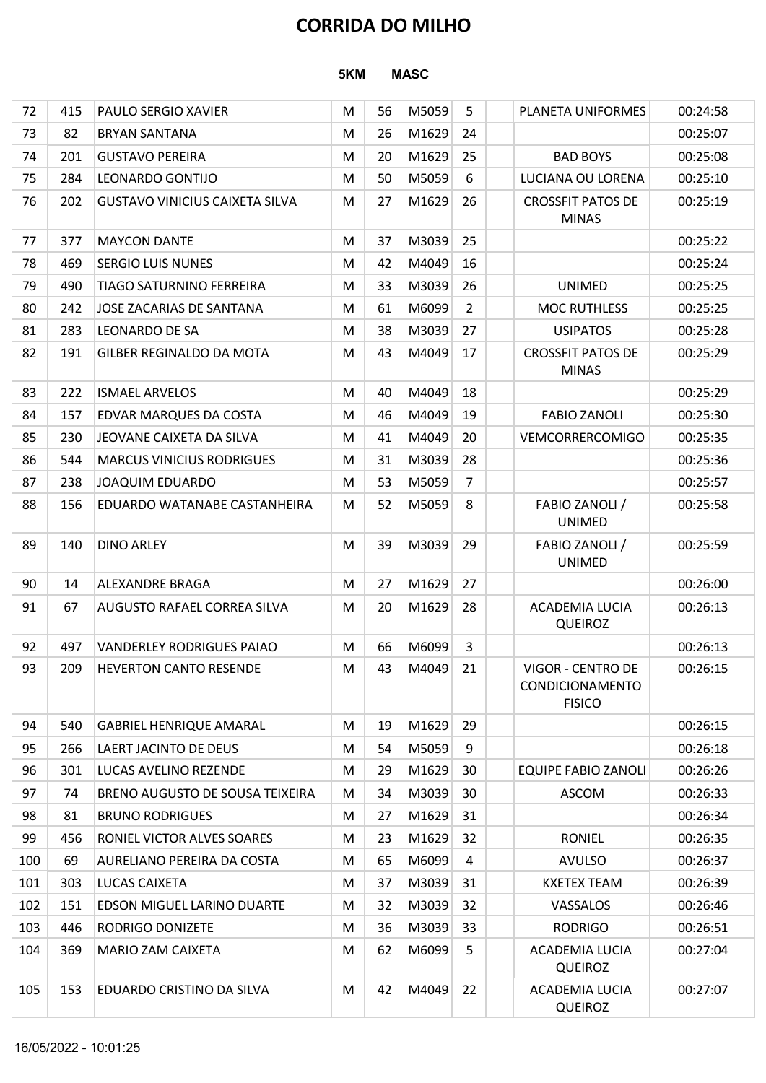|     |     |                                       | <b>CORRIDA DO MILHO</b> |    |             |                 |                                                       |          |  |  |  |  |  |  |
|-----|-----|---------------------------------------|-------------------------|----|-------------|-----------------|-------------------------------------------------------|----------|--|--|--|--|--|--|
|     |     |                                       | 5KM                     |    | <b>MASC</b> |                 |                                                       |          |  |  |  |  |  |  |
| 72  | 415 | <b>PAULO SERGIO XAVIER</b>            | M                       | 56 | M5059       | 5               | PLANETA UNIFORMES                                     | 00:24:58 |  |  |  |  |  |  |
| 73  | 82  | <b>BRYAN SANTANA</b>                  | M                       | 26 | M1629       | 24              |                                                       | 00:25:07 |  |  |  |  |  |  |
| 74  | 201 | <b>GUSTAVO PEREIRA</b>                | M                       | 20 | M1629       | 25              | <b>BAD BOYS</b>                                       | 00:25:08 |  |  |  |  |  |  |
| 75  | 284 | LEONARDO GONTIJO                      | M                       | 50 | M5059       | 6               | LUCIANA OU LORENA                                     | 00:25:10 |  |  |  |  |  |  |
| 76  | 202 | <b>GUSTAVO VINICIUS CAIXETA SILVA</b> | M                       | 27 | M1629       | 26              | <b>CROSSFIT PATOS DE</b><br><b>MINAS</b>              | 00:25:19 |  |  |  |  |  |  |
| 77  | 377 | <b>MAYCON DANTE</b>                   | M                       | 37 | M3039       | 25              |                                                       | 00:25:22 |  |  |  |  |  |  |
| 78  | 469 | <b>SERGIO LUIS NUNES</b>              | M                       | 42 | M4049       | 16              |                                                       | 00:25:24 |  |  |  |  |  |  |
| 79  | 490 | <b>TIAGO SATURNINO FERREIRA</b>       | M                       | 33 | M3039       | 26              | <b>UNIMED</b>                                         | 00:25:25 |  |  |  |  |  |  |
| 80  | 242 | JOSE ZACARIAS DE SANTANA              | M                       | 61 | M6099       | $\overline{2}$  | <b>MOC RUTHLESS</b>                                   | 00:25:25 |  |  |  |  |  |  |
| 81  | 283 | LEONARDO DE SA                        | M                       | 38 | M3039       | 27              | <b>USIPATOS</b>                                       | 00:25:28 |  |  |  |  |  |  |
| 82  | 191 | <b>GILBER REGINALDO DA MOTA</b>       | М                       | 43 | M4049       | 17              | <b>CROSSFIT PATOS DE</b><br><b>MINAS</b>              | 00:25:29 |  |  |  |  |  |  |
| 83  | 222 | <b>ISMAEL ARVELOS</b>                 | M                       | 40 | M4049       | 18              |                                                       | 00:25:29 |  |  |  |  |  |  |
| 84  | 157 | <b>EDVAR MARQUES DA COSTA</b>         | M                       | 46 | M4049       | 19              | <b>FABIO ZANOLI</b>                                   | 00:25:30 |  |  |  |  |  |  |
| 85  | 230 | JEOVANE CAIXETA DA SILVA              | M                       | 41 | M4049       | 20              | VEMCORRERCOMIGO                                       | 00:25:35 |  |  |  |  |  |  |
| 86  | 544 | <b>MARCUS VINICIUS RODRIGUES</b>      | M                       | 31 | M3039       | 28              |                                                       | 00:25:36 |  |  |  |  |  |  |
| 87  | 238 | JOAQUIM EDUARDO                       | M                       | 53 | M5059       | $\overline{7}$  |                                                       | 00:25:57 |  |  |  |  |  |  |
| 88  | 156 | EDUARDO WATANABE CASTANHEIRA          | M                       | 52 | M5059       | 8               | FABIO ZANOLI /<br><b>UNIMED</b>                       | 00:25:58 |  |  |  |  |  |  |
| 89  | 140 | <b>DINO ARLEY</b>                     | M                       | 39 | M3039       | 29              | FABIO ZANOLI /<br><b>UNIMED</b>                       | 00:25:59 |  |  |  |  |  |  |
| 90  | 14  | <b>ALEXANDRE BRAGA</b>                | M                       | 27 | M1629       | 27              |                                                       | 00:26:00 |  |  |  |  |  |  |
| 91  | 67  | <b>AUGUSTO RAFAEL CORREA SILVA</b>    | M                       | 20 | M1629       | 28              | <b>ACADEMIA LUCIA</b><br><b>QUEIROZ</b>               | 00:26:13 |  |  |  |  |  |  |
| 92  | 497 | <b>VANDERLEY RODRIGUES PAIAO</b>      | M                       | 66 | M6099       | 3               |                                                       | 00:26:13 |  |  |  |  |  |  |
| 93  | 209 | <b>HEVERTON CANTO RESENDE</b>         | M                       | 43 | M4049       | 21              | VIGOR - CENTRO DE<br>CONDICIONAMENTO<br><b>FISICO</b> | 00:26:15 |  |  |  |  |  |  |
| 94  | 540 | <b>GABRIEL HENRIQUE AMARAL</b>        | M                       | 19 | M1629       | 29              |                                                       | 00:26:15 |  |  |  |  |  |  |
| 95  | 266 | LAERT JACINTO DE DEUS                 | M                       | 54 | M5059       | 9               |                                                       | 00:26:18 |  |  |  |  |  |  |
| 96  | 301 | LUCAS AVELINO REZENDE                 | M                       | 29 | M1629       | 30              | <b>EQUIPE FABIO ZANOLI</b>                            | 00:26:26 |  |  |  |  |  |  |
| 97  | 74  | BRENO AUGUSTO DE SOUSA TEIXEIRA       | M                       | 34 | M3039       | 30              | <b>ASCOM</b>                                          | 00:26:33 |  |  |  |  |  |  |
| 98  | 81  | <b>BRUNO RODRIGUES</b>                | M                       | 27 | M1629       | 31              |                                                       | 00:26:34 |  |  |  |  |  |  |
| 99  | 456 | RONIEL VICTOR ALVES SOARES            | M                       | 23 | M1629       | 32              | <b>RONIEL</b>                                         | 00:26:35 |  |  |  |  |  |  |
| 100 | 69  | <b>AURELIANO PEREIRA DA COSTA</b>     | M                       | 65 | M6099       | 4               | <b>AVULSO</b>                                         | 00:26:37 |  |  |  |  |  |  |
| 101 | 303 | LUCAS CAIXETA                         | M                       | 37 | M3039       | 31              | <b>KXETEX TEAM</b>                                    | 00:26:39 |  |  |  |  |  |  |
| 102 | 151 | <b>EDSON MIGUEL LARINO DUARTE</b>     | M                       | 32 | M3039       | 32              | VASSALOS                                              | 00:26:46 |  |  |  |  |  |  |
| 103 | 446 | <b>RODRIGO DONIZETE</b>               | M                       | 36 | M3039       | 33              | <b>RODRIGO</b>                                        | 00:26:51 |  |  |  |  |  |  |
| 104 | 369 | <b>MARIO ZAM CAIXETA</b>              | M                       | 62 | M6099       | $5\phantom{.0}$ | ACADEMIA LUCIA<br><b>QUEIROZ</b>                      | 00:27:04 |  |  |  |  |  |  |
| 105 | 153 | <b>EDUARDO CRISTINO DA SILVA</b>      | M                       | 42 | M4049       | 22              | ACADEMIA LUCIA<br><b>QUEIROZ</b>                      | 00:27:07 |  |  |  |  |  |  |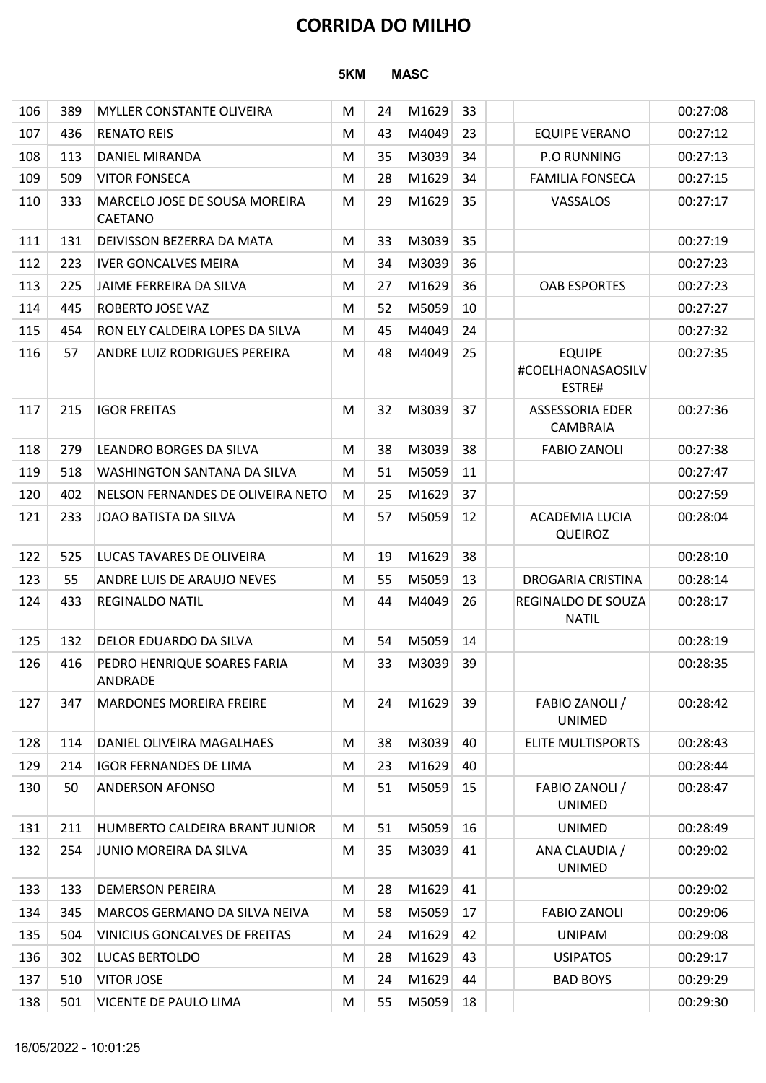|     |     |                                               |                    |    | <b>CORRIDA DO MILHO</b> |    |                                              |          |  |  |  |
|-----|-----|-----------------------------------------------|--------------------|----|-------------------------|----|----------------------------------------------|----------|--|--|--|
|     |     |                                               | 5KM<br><b>MASC</b> |    |                         |    |                                              |          |  |  |  |
| 106 | 389 | <b>MYLLER CONSTANTE OLIVEIRA</b>              | M                  | 24 | M1629                   | 33 |                                              | 00:27:08 |  |  |  |
| 107 | 436 | <b>RENATO REIS</b>                            | M                  | 43 | M4049                   | 23 | <b>EQUIPE VERANO</b>                         | 00:27:12 |  |  |  |
| 108 | 113 | <b>DANIEL MIRANDA</b>                         | M                  | 35 | M3039                   | 34 | <b>P.O RUNNING</b>                           | 00:27:13 |  |  |  |
| 109 | 509 | <b>VITOR FONSECA</b>                          | M                  | 28 | M1629                   | 34 | <b>FAMILIA FONSECA</b>                       | 00:27:15 |  |  |  |
| 110 | 333 | MARCELO JOSE DE SOUSA MOREIRA<br>CAETANO      | M                  | 29 | M1629                   | 35 | VASSALOS                                     | 00:27:17 |  |  |  |
| 111 | 131 | DEIVISSON BEZERRA DA MATA                     | M                  | 33 | M3039                   | 35 |                                              | 00:27:19 |  |  |  |
| 112 | 223 | <b>IVER GONCALVES MEIRA</b>                   | M                  | 34 | M3039                   | 36 |                                              | 00:27:23 |  |  |  |
| 113 | 225 | JAIME FERREIRA DA SILVA                       | M                  | 27 | M1629                   | 36 | <b>OAB ESPORTES</b>                          | 00:27:23 |  |  |  |
| 114 | 445 | ROBERTO JOSE VAZ                              | M                  | 52 | M5059                   | 10 |                                              | 00:27:27 |  |  |  |
| 115 | 454 | RON ELY CALDEIRA LOPES DA SILVA               | M                  | 45 | M4049                   | 24 |                                              | 00:27:32 |  |  |  |
| 116 | 57  | ANDRE LUIZ RODRIGUES PEREIRA                  | M                  | 48 | M4049                   | 25 | <b>EQUIPE</b><br>#COELHAONASAOSILV<br>ESTRE# | 00:27:35 |  |  |  |
| 117 | 215 | <b>IGOR FREITAS</b>                           | M                  | 32 | M3039                   | 37 | <b>ASSESSORIA EDER</b><br>CAMBRAIA           | 00:27:36 |  |  |  |
| 118 | 279 | LEANDRO BORGES DA SILVA                       | M                  | 38 | M3039                   | 38 | <b>FABIO ZANOLI</b>                          | 00:27:38 |  |  |  |
| 119 | 518 | WASHINGTON SANTANA DA SILVA                   | M                  | 51 | M5059                   | 11 |                                              | 00:27:47 |  |  |  |
| 120 | 402 | NELSON FERNANDES DE OLIVEIRA NETO             | M                  | 25 | M1629                   | 37 |                                              | 00:27:59 |  |  |  |
| 121 | 233 | JOAO BATISTA DA SILVA                         | M                  | 57 | M5059                   | 12 | <b>ACADEMIA LUCIA</b><br><b>QUEIROZ</b>      | 00:28:04 |  |  |  |
| 122 | 525 | LUCAS TAVARES DE OLIVEIRA                     | M                  | 19 | M1629                   | 38 |                                              | 00:28:10 |  |  |  |
| 123 | 55  | ANDRE LUIS DE ARAUJO NEVES                    | M                  | 55 | M5059                   | 13 | DROGARIA CRISTINA                            | 00:28:14 |  |  |  |
| 124 | 433 | <b>REGINALDO NATIL</b>                        | M                  | 44 | M4049                   | 26 | REGINALDO DE SOUZA<br><b>NATIL</b>           | 00:28:17 |  |  |  |
| 125 | 132 | DELOR EDUARDO DA SILVA                        | M                  | 54 | M5059                   | 14 |                                              | 00:28:19 |  |  |  |
| 126 | 416 | PEDRO HENRIQUE SOARES FARIA<br><b>ANDRADE</b> | M                  | 33 | M3039                   | 39 |                                              | 00:28:35 |  |  |  |
| 127 | 347 | <b>MARDONES MOREIRA FREIRE</b>                | M                  | 24 | M1629                   | 39 | FABIO ZANOLI /<br><b>UNIMED</b>              | 00:28:42 |  |  |  |
| 128 | 114 | DANIEL OLIVEIRA MAGALHAES                     | M                  | 38 | M3039                   | 40 | <b>ELITE MULTISPORTS</b>                     | 00:28:43 |  |  |  |
| 129 | 214 | <b>IGOR FERNANDES DE LIMA</b>                 | M                  | 23 | M1629                   | 40 |                                              | 00:28:44 |  |  |  |
| 130 | 50  | <b>ANDERSON AFONSO</b>                        | M                  | 51 | M5059                   | 15 | FABIO ZANOLI /<br><b>UNIMED</b>              | 00:28:47 |  |  |  |
| 131 | 211 | HUMBERTO CALDEIRA BRANT JUNIOR                | M                  | 51 | M5059                   | 16 | <b>UNIMED</b>                                | 00:28:49 |  |  |  |
| 132 | 254 | JUNIO MOREIRA DA SILVA                        | M                  | 35 | M3039                   | 41 | ANA CLAUDIA /<br><b>UNIMED</b>               | 00:29:02 |  |  |  |
| 133 | 133 | <b>DEMERSON PEREIRA</b>                       | M                  | 28 | M1629                   | 41 |                                              | 00:29:02 |  |  |  |
| 134 | 345 | MARCOS GERMANO DA SILVA NEIVA                 | M                  | 58 | M5059                   | 17 | <b>FABIO ZANOLI</b>                          | 00:29:06 |  |  |  |
| 135 | 504 | VINICIUS GONCALVES DE FREITAS                 | M                  | 24 | M1629                   | 42 | <b>UNIPAM</b>                                | 00:29:08 |  |  |  |
| 136 | 302 | LUCAS BERTOLDO                                | M                  | 28 | $M1629$ 43              |    | <b>USIPATOS</b>                              | 00:29:17 |  |  |  |
| 137 | 510 | <b>VITOR JOSE</b>                             | M                  | 24 | M1629                   | 44 | <b>BAD BOYS</b>                              | 00:29:29 |  |  |  |
| 138 | 501 | <b>VICENTE DE PAULO LIMA</b>                  | M                  | 55 | M5059 18                |    |                                              | 00:29:30 |  |  |  |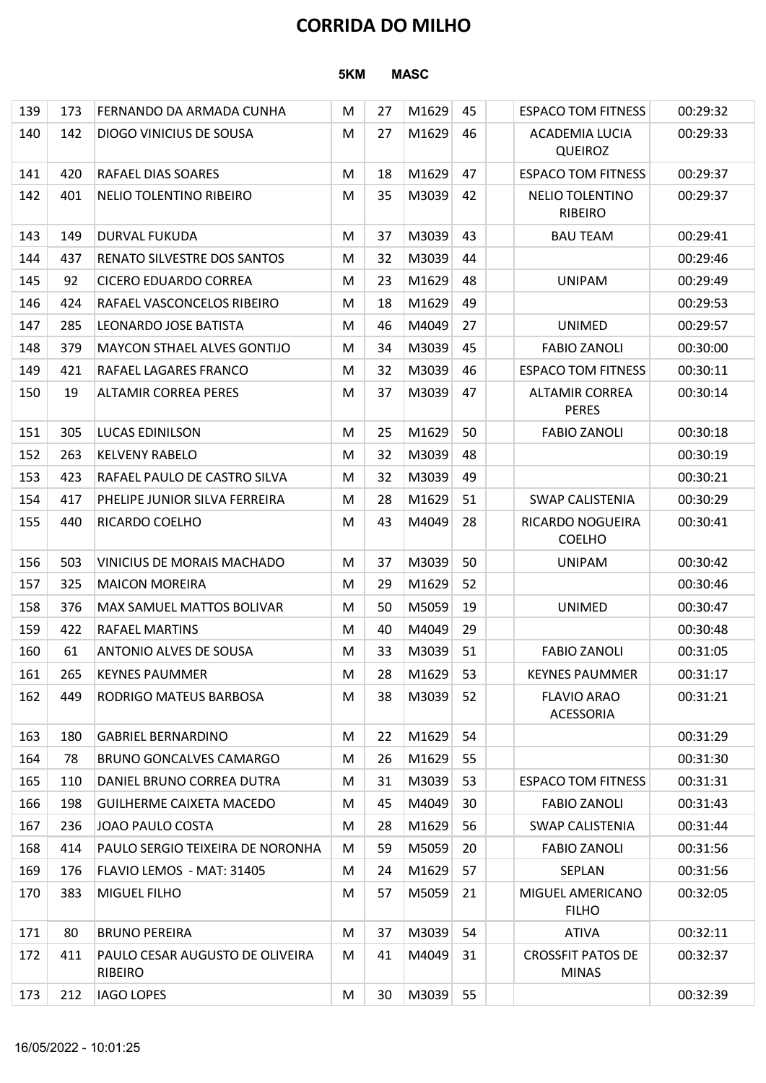|     | <b>CORRIDA DO MILHO</b> |                                                      |        |                 |                |          |                                                                    |                      |  |  |  |  |
|-----|-------------------------|------------------------------------------------------|--------|-----------------|----------------|----------|--------------------------------------------------------------------|----------------------|--|--|--|--|
|     |                         |                                                      | 5KM    |                 | <b>MASC</b>    |          |                                                                    |                      |  |  |  |  |
| 139 | 173                     | FERNANDO DA ARMADA CUNHA                             | M      | 27              | M1629          | 45       | <b>ESPACO TOM FITNESS</b>                                          | 00:29:32             |  |  |  |  |
|     | 140<br>142              | <b>DIOGO VINICIUS DE SOUSA</b>                       | M      | 27              | M1629          | 46       | <b>ACADEMIA LUCIA</b><br><b>QUEIROZ</b>                            | 00:29:33             |  |  |  |  |
| 141 | 420                     | <b>RAFAEL DIAS SOARES</b>                            | M      | 18              | M1629          | 47       | <b>ESPACO TOM FITNESS</b>                                          | 00:29:37             |  |  |  |  |
| 142 | 401                     | NELIO TOLENTINO RIBEIRO                              | M      | 35              | M3039          | 42       | <b>NELIO TOLENTINO</b><br><b>RIBEIRO</b>                           | 00:29:37             |  |  |  |  |
| 143 | 149                     | DURVAL FUKUDA                                        | M      | 37              | M3039          | 43       | <b>BAU TEAM</b>                                                    | 00:29:41             |  |  |  |  |
| 144 | 437                     | <b>RENATO SILVESTRE DOS SANTOS</b>                   | M      | 32              | M3039          | 44       |                                                                    | 00:29:46             |  |  |  |  |
| 145 | 92                      | <b>CICERO EDUARDO CORREA</b>                         | M      | 23              | M1629          | 48       | <b>UNIPAM</b>                                                      | 00:29:49             |  |  |  |  |
|     | 424<br>146              | RAFAEL VASCONCELOS RIBEIRO                           | M      | 18              | M1629          | 49       |                                                                    | 00:29:53             |  |  |  |  |
| 147 | 285                     | LEONARDO JOSE BATISTA                                | M      | 46              | M4049          | 27       | <b>UNIMED</b>                                                      | 00:29:57             |  |  |  |  |
|     | 379<br>148              | <b>MAYCON STHAEL ALVES GONTIJO</b>                   | M      | 34              | M3039          | 45       | <b>FABIO ZANOLI</b>                                                | 00:30:00             |  |  |  |  |
|     | 149<br>421<br>150<br>19 | RAFAEL LAGARES FRANCO<br><b>ALTAMIR CORREA PERES</b> | M<br>M | 32<br>37        | M3039<br>M3039 | 46<br>47 | <b>ESPACO TOM FITNESS</b><br><b>ALTAMIR CORREA</b><br><b>PERES</b> | 00:30:11<br>00:30:14 |  |  |  |  |
| 151 | 305                     | <b>LUCAS EDINILSON</b>                               | M      | 25              | M1629          | 50       | <b>FABIO ZANOLI</b>                                                | 00:30:18             |  |  |  |  |
| 152 | 263                     | <b>KELVENY RABELO</b>                                | M      | 32              | M3039          | 48       |                                                                    | 00:30:19             |  |  |  |  |
| 153 | 423                     | RAFAEL PAULO DE CASTRO SILVA                         | M      | 32              | M3039          | 49       |                                                                    | 00:30:21             |  |  |  |  |
| 154 | 417                     | PHELIPE JUNIOR SILVA FERREIRA                        | M      | 28              | M1629          | 51       | <b>SWAP CALISTENIA</b>                                             | 00:30:29             |  |  |  |  |
|     | 155<br>440              | <b>RICARDO COELHO</b>                                | M      | 43              | M4049          | 28       | RICARDO NOGUEIRA<br><b>COELHO</b>                                  | 00:30:41             |  |  |  |  |
| 156 | 503                     | VINICIUS DE MORAIS MACHADO                           | M      | 37              | M3039          | 50       | <b>UNIPAM</b>                                                      | 00:30:42             |  |  |  |  |
| 157 | 325                     | <b>MAICON MOREIRA</b>                                | M      | 29              | M1629          | 52       |                                                                    | 00:30:46             |  |  |  |  |
| 158 | 376                     | <b>MAX SAMUEL MATTOS BOLIVAR</b>                     | M      | 50              | M5059          | 19       | <b>UNIMED</b>                                                      | 00:30:47             |  |  |  |  |
| 159 | 422                     | <b>RAFAEL MARTINS</b>                                | M      | 40              | M4049          | 29       |                                                                    | 00:30:48             |  |  |  |  |
|     | 160<br>61               | <b>ANTONIO ALVES DE SOUSA</b>                        | M      | 33              | M3039          | 51       | <b>FABIO ZANOLI</b>                                                | 00:31:05             |  |  |  |  |
| 161 | 265                     | <b>KEYNES PAUMMER</b>                                | M      | 28              | M1629          | 53       | <b>KEYNES PAUMMER</b>                                              | 00:31:17             |  |  |  |  |
|     | 162<br>449              | RODRIGO MATEUS BARBOSA                               | M      | 38              | M3039          | 52       | <b>FLAVIO ARAO</b><br>ACESSORIA                                    | 00:31:21             |  |  |  |  |
| 163 | 180                     | <b>GABRIEL BERNARDINO</b>                            | M      | 22              | M1629          | 54       |                                                                    | 00:31:29             |  |  |  |  |
|     | 164<br>78               | <b>BRUNO GONCALVES CAMARGO</b>                       | M      | 26              | M1629          | 55       |                                                                    | 00:31:30             |  |  |  |  |
|     | 165<br>110              | DANIEL BRUNO CORREA DUTRA                            | M      | 31              | M3039          | 53       | <b>ESPACO TOM FITNESS</b>                                          | 00:31:31             |  |  |  |  |
|     | 166<br>198              | <b>GUILHERME CAIXETA MACEDO</b>                      | M      | 45              | M4049          | 30       | <b>FABIO ZANOLI</b>                                                | 00:31:43             |  |  |  |  |
| 167 | 236<br>168<br>414       | JOAO PAULO COSTA<br>PAULO SERGIO TEIXEIRA DE NORONHA | M<br>M | 28<br>59        | M1629<br>M5059 | 56<br>20 | <b>SWAP CALISTENIA</b><br><b>FABIO ZANOLI</b>                      | 00:31:44<br>00:31:56 |  |  |  |  |
| 169 | 176                     | FLAVIO LEMOS - MAT: 31405                            | M      | 24              | M1629          | 57       | SEPLAN                                                             | 00:31:56             |  |  |  |  |
|     | 170<br>383              | MIGUEL FILHO                                         | M      | 57              | M5059          | 21       | MIGUEL AMERICANO<br><b>FILHO</b>                                   | 00:32:05             |  |  |  |  |
| 171 | 80                      | <b>BRUNO PEREIRA</b>                                 | M      | 37              | M3039          | 54       | <b>ATIVA</b>                                                       | 00:32:11             |  |  |  |  |
| 172 | 411                     | PAULO CESAR AUGUSTO DE OLIVEIRA<br><b>RIBEIRO</b>    | M      | 41              | M4049 31       |          | <b>CROSSFIT PATOS DE</b><br><b>MINAS</b>                           | 00:32:37             |  |  |  |  |
|     | 173<br>212              | <b>IAGO LOPES</b>                                    | M      | 30 <sup>°</sup> | M3039 55       |          |                                                                    | 00:32:39             |  |  |  |  |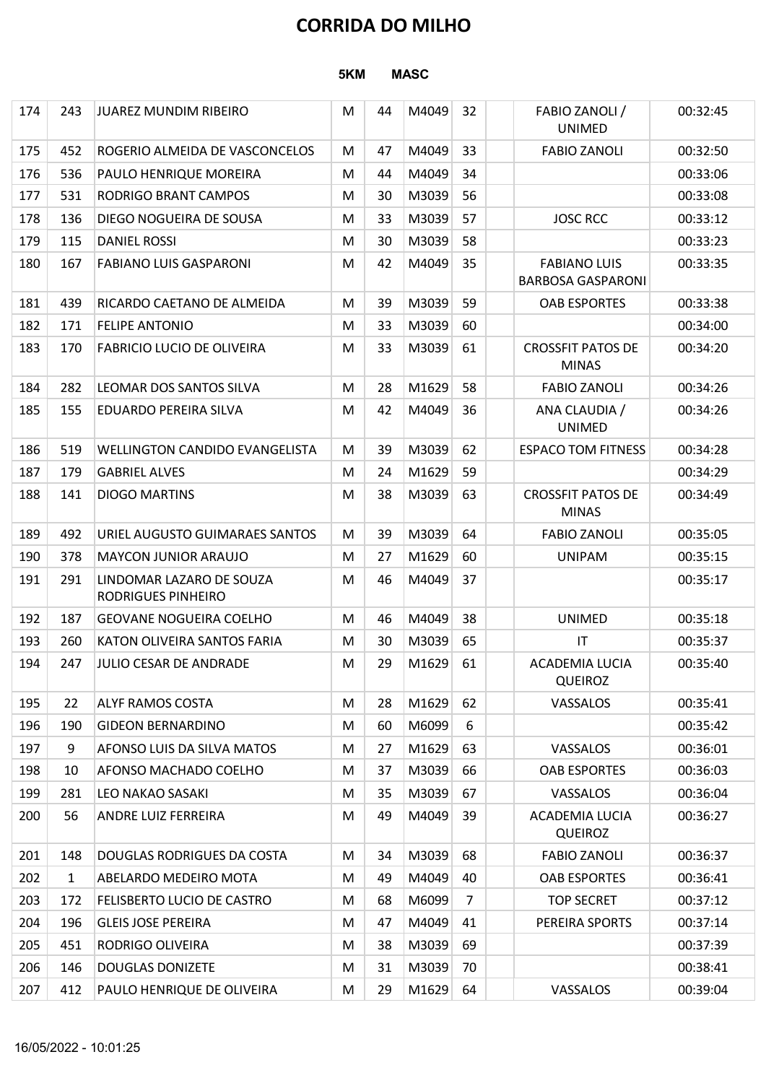|     |     |                                                |                    |    | <b>CORRIDA DO MILHO</b> |    |                                                 |          |  |  |  |
|-----|-----|------------------------------------------------|--------------------|----|-------------------------|----|-------------------------------------------------|----------|--|--|--|
|     |     |                                                | 5KM<br><b>MASC</b> |    |                         |    |                                                 |          |  |  |  |
| 174 | 243 | JUAREZ MUNDIM RIBEIRO                          | M                  | 44 | M4049                   | 32 | FABIO ZANOLI /<br><b>UNIMED</b>                 | 00:32:45 |  |  |  |
| 175 | 452 | ROGERIO ALMEIDA DE VASCONCELOS                 | M                  | 47 | M4049                   | 33 | <b>FABIO ZANOLI</b>                             | 00:32:50 |  |  |  |
| 176 | 536 | PAULO HENRIQUE MOREIRA                         | M                  | 44 | M4049                   | 34 |                                                 | 00:33:06 |  |  |  |
| 177 | 531 | RODRIGO BRANT CAMPOS                           | M                  | 30 | M3039                   | 56 |                                                 | 00:33:08 |  |  |  |
| 178 | 136 | DIEGO NOGUEIRA DE SOUSA                        | M                  | 33 | M3039                   | 57 | <b>JOSC RCC</b>                                 | 00:33:12 |  |  |  |
| 179 | 115 | <b>DANIEL ROSSI</b>                            | M                  | 30 | M3039                   | 58 |                                                 | 00:33:23 |  |  |  |
| 180 | 167 | <b>FABIANO LUIS GASPARONI</b>                  | M                  | 42 | M4049                   | 35 | <b>FABIANO LUIS</b><br><b>BARBOSA GASPARONI</b> | 00:33:35 |  |  |  |
| 181 | 439 | RICARDO CAETANO DE ALMEIDA                     | M                  | 39 | M3039                   | 59 | <b>OAB ESPORTES</b>                             | 00:33:38 |  |  |  |
| 182 | 171 | <b>FELIPE ANTONIO</b>                          | M                  | 33 | M3039                   | 60 |                                                 | 00:34:00 |  |  |  |
| 183 | 170 | <b>FABRICIO LUCIO DE OLIVEIRA</b>              | M                  | 33 | M3039                   | 61 | <b>CROSSFIT PATOS DE</b><br><b>MINAS</b>        | 00:34:20 |  |  |  |
| 184 | 282 | LEOMAR DOS SANTOS SILVA                        | M                  | 28 | M1629                   | 58 | <b>FABIO ZANOLI</b>                             | 00:34:26 |  |  |  |
| 185 | 155 | EDUARDO PEREIRA SILVA                          | M                  | 42 | M4049                   | 36 | ANA CLAUDIA /<br><b>UNIMED</b>                  | 00:34:26 |  |  |  |
| 186 | 519 | WELLINGTON CANDIDO EVANGELISTA                 | M                  | 39 | M3039                   | 62 | <b>ESPACO TOM FITNESS</b>                       | 00:34:28 |  |  |  |
| 187 | 179 | <b>GABRIEL ALVES</b>                           | M                  | 24 | M1629                   | 59 |                                                 | 00:34:29 |  |  |  |
| 188 | 141 | <b>DIOGO MARTINS</b>                           | M                  | 38 | M3039                   | 63 | <b>CROSSFIT PATOS DE</b><br><b>MINAS</b>        | 00:34:49 |  |  |  |
| 189 | 492 | URIEL AUGUSTO GUIMARAES SANTOS                 | M                  | 39 | M3039                   | 64 | <b>FABIO ZANOLI</b>                             | 00:35:05 |  |  |  |
| 190 | 378 | <b>MAYCON JUNIOR ARAUJO</b>                    | M                  | 27 | M1629                   | 60 | <b>UNIPAM</b>                                   | 00:35:15 |  |  |  |
| 191 | 291 | LINDOMAR LAZARO DE SOUZA<br>RODRIGUES PINHEIRO | M                  | 46 | M4049                   | 37 |                                                 | 00:35:17 |  |  |  |
| 192 | 187 | <b>GEOVANE NOGUEIRA COELHO</b>                 | M                  | 46 | M4049                   | 38 | <b>UNIMED</b>                                   | 00:35:18 |  |  |  |
| 193 | 260 | KATON OLIVEIRA SANTOS FARIA                    | M                  | 30 | M3039                   | 65 | $\mathsf{I}\mathsf{T}$                          | 00:35:37 |  |  |  |
| 194 | 247 | JULIO CESAR DE ANDRADE                         | M                  | 29 | M1629                   | 61 | ACADEMIA LUCIA<br><b>QUEIROZ</b>                | 00:35:40 |  |  |  |
| 195 | 22  | <b>ALYF RAMOS COSTA</b>                        | M                  | 28 | M1629                   | 62 | VASSALOS                                        | 00:35:41 |  |  |  |
| 196 | 190 | <b>GIDEON BERNARDINO</b>                       | M                  | 60 | M6099                   | 6  |                                                 | 00:35:42 |  |  |  |
| 197 | 9   | AFONSO LUIS DA SILVA MATOS                     | M                  | 27 | M1629                   | 63 | VASSALOS                                        | 00:36:01 |  |  |  |
| 198 | 10  | <b>AFONSO MACHADO COELHO</b>                   | M                  | 37 | M3039                   | 66 | <b>OAB ESPORTES</b>                             | 00:36:03 |  |  |  |
| 199 | 281 | <b>LEO NAKAO SASAKI</b>                        | M                  | 35 | M3039                   | 67 | VASSALOS                                        | 00:36:04 |  |  |  |
| 200 | 56  | ANDRE LUIZ FERREIRA                            | M                  | 49 | M4049                   | 39 | <b>ACADEMIA LUCIA</b><br><b>QUEIROZ</b>         | 00:36:27 |  |  |  |
| 201 | 148 | DOUGLAS RODRIGUES DA COSTA                     | M                  | 34 | M3039                   | 68 | <b>FABIO ZANOLI</b>                             | 00:36:37 |  |  |  |
| 202 | 1   | ABELARDO MEDEIRO MOTA                          | M                  | 49 | M4049                   | 40 | <b>OAB ESPORTES</b>                             | 00:36:41 |  |  |  |
| 203 | 172 | FELISBERTO LUCIO DE CASTRO                     | M                  | 68 | M6099                   | 7  | <b>TOP SECRET</b>                               | 00:37:12 |  |  |  |
| 204 | 196 | <b>GLEIS JOSE PEREIRA</b>                      | M                  | 47 | M4049                   | 41 | PEREIRA SPORTS                                  | 00:37:14 |  |  |  |
| 205 | 451 | RODRIGO OLIVEIRA                               | ${\sf M}$          | 38 | M3039 69                |    |                                                 | 00:37:39 |  |  |  |
| 206 | 146 | <b>DOUGLAS DONIZETE</b>                        | M                  | 31 | M3039                   | 70 |                                                 | 00:38:41 |  |  |  |
| 207 | 412 | PAULO HENRIQUE DE OLIVEIRA                     | M                  | 29 | M1629                   | 64 | VASSALOS                                        | 00:39:04 |  |  |  |